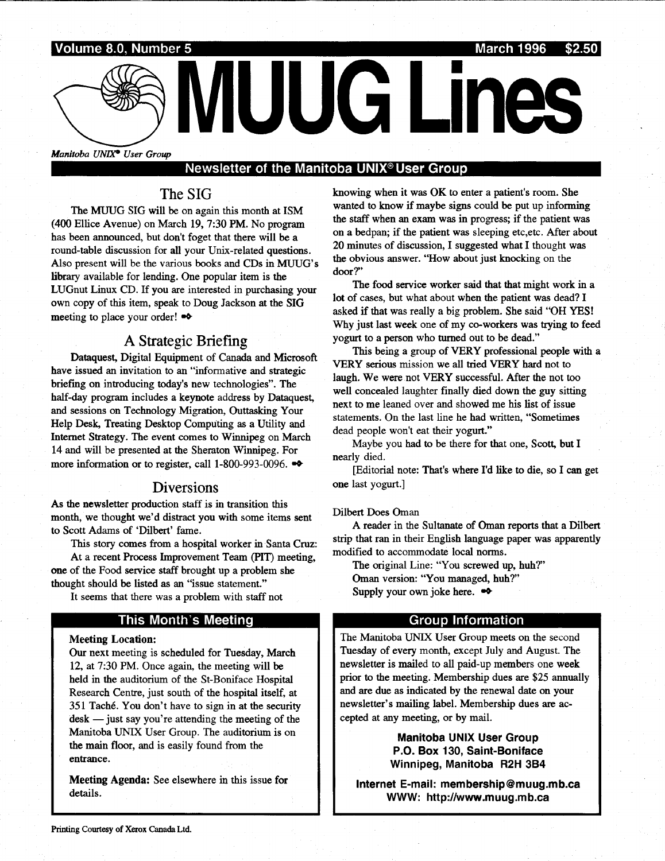

# Newsletter of the Manitoba UNIX<sup>®</sup> User Group

# The SIG

The MUUG SIG will be on again this month at ISM (400 Ellice Avenue) on March 19, 7 :30 PM . No program has been announced, but don't foget that there will be a round-table discussion for all your Unix-related questions . Also present will be the various books and CDs in MUUG's library available for lending. One popular item is the LUGnut Linux CD. If you are interested in purchasing your own copy of this item, speak to Doug Jackson at the SIG meeting to place your order!  $\bullet\bullet$ 

# A Strategic Briefing

Dataquest, Digital Equipment of Canada and Microsoft have issued an invitation to an "informative and strategic briefing on introducing today's new technologies". The half-day program includes a keynote address by Dataquest, and sessions on Technology Migration, Outtasking Your Help Desk, Treating Desktop Computing as a Utility and Internet Strategy. The event comes to Winnipeg on March 14 and will be presented at the Sheraton Winnipeg. For more information or to register, call 1-800-993-0096.  $\bullet\bullet$ 

## Diversions

As the newsletter production staff is in transition this month, we thought we'd distract you with some items sent to Scott Adams of 'Dilbert' fame.

This story comes from a hospital worker in Santa Cruz:

At a recent Process Improvement Team (PIT) meeting, one of the Food service staff brought up a problem she thought should be listed as an "issue statement."

It seems that there was a problem with staff not

### This Month's Meeting

#### **Meeting Location:**

Our next meeting is scheduled for Tuesday, March 12, at 7:30 PM. Once again, the meeting will be held in the auditorium of the St-Boniface Hospital Research Centre, just south of the hospital itself, at 351 Taché. You don't have to sign in at the security  $\text{desk}$  - just say you're attending the meeting of the Manitoba UNIX User Group. The auditorium is on the main floor, and is easily found from the entrance.

Meeting Agenda: See elsewhere in this issue for details.

knowing when it was OK to enter a patient's room. She wanted to know if maybe signs could be put up informing the staff when an exam was in progress; if the patient was on a bedpan; if the patient was sleeping etc,etc . After about 20 minutes of discussion, I suggested what I thought was the obvious answer. "How about just knocking on the door?"

The food service worker said that that might work in a lot of cases, but what about when the patient was dead? I asked if that was really a big problem. She said "OH YES! Why just last week one of my co-workers was trying to feed yogurt to a person who turned out to be dead."

This being a group of VERY professional people with a VERY serious mission we all tried VERY hard not to laugh. We were not VERY successful. After the not too well concealed laughter finally died down the guy sitting next to me leaned over and showed me his list of issue statements. On the last line he had written, "Sometimes dead people won't eat their yogurt."

Maybe you had to be there for that one, Scott, but I nearly died.

[Editorial note: That's where I'd like to die, so I can get one last yogurt.]

#### Dilbert Does Oman

A reader in the Sultanate of Oman reports that a Dilbert strip that ran in their English language paper was apparently modified to accommodate local norms.

The original Line: "You screwed up, huh?" Oman version: "You managed, huh?" Supply your own joke here.  $\bullet\bullet$ 

#### Group Information

The Manitoba UNIX User Group meets on the second Tuesday of every month, except July and August. The newsletter is mailed to all paid-up members one week prior to the meeting. Membership dues are \$25 annually and are due as indicated by the renewal date on your newsletter's mailing label. Membership dues are accepted at any meeting, or by mail .

> Manitoba UNIX User Group P.O. Box 130, Saint-Boniface Winnipeg, Manitoba R2H 3B4

Internet E-mail: membership@muug.mb.ca WWW: http://www.muug.mb.ca